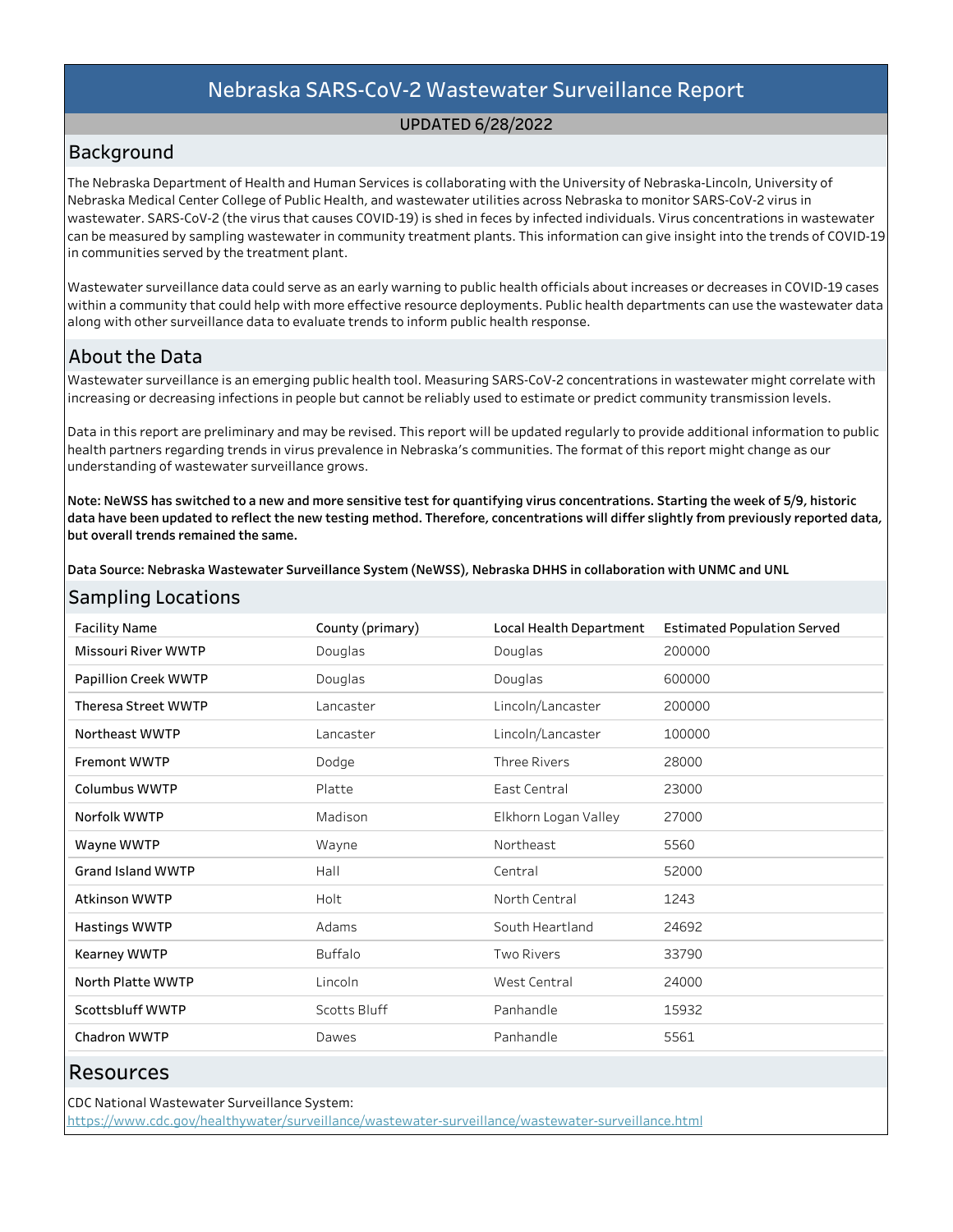# UPDATED6/28/2022

# Background

The Nebraska Department of Health and Human Services is collaborating with the University of Nebraska-Lincoln, University of Nebraska Medical Center College of Public Health, and wastewater utilities across Nebraska to monitor SARS-CoV-2 virus in wastewater. SARS-CoV-2 (the virus that causes COVID-19) is shed in feces by infected individuals. Virus concentrations in wastewater can be measured by sampling wastewater in community treatment plants. This information can give insight into the trends of COVID-19 in communities served by the treatment plant.

Wastewater surveillance data could serve as an early warning to public health officials about increases or decreases in COVID-19 cases within a community that could help with more effective resource deployments. Public health departments can use the wastewater data along with other surveillance data to evaluate trends to inform public health response.

# About the Data

SamplingLocations

Wastewater surveillance is an emerging public health tool. Measuring SARS-CoV-2 concentrations in wastewater might correlate with increasing or decreasing infections in people but cannot be reliably used to estimate or predict community transmission levels.

Data in this report are preliminary and may be revised. This report will be updated regularly to provide additional information to public health partners regarding trends in virus prevalence in Nebraska's communities. The format of this report might change as our understanding of wastewater surveillance grows.

Note: NeWSS has switched to a new and more sensitive test for quantifying virus concentrations. Starting the week of 5/9, historic data have been updated to reflect the new testing method. Therefore, concentrations will differ slightly from previously reported data, but overall trends remained the same.

Data Source: Nebraska Wastewater Surveillance System (NeWSS), Nebraska DHHS in collaboration with UNMC and UNL

| Samping Lucations          |                  |                         |                                    |
|----------------------------|------------------|-------------------------|------------------------------------|
| <b>Facility Name</b>       | County (primary) | Local Health Department | <b>Estimated Population Served</b> |
| Missouri River WWTP        | Douglas          | Douglas                 | 200000                             |
| Papillion Creek WWTP       | Douglas          | Douglas                 | 600000                             |
| <b>Theresa Street WWTP</b> | Lancaster        | Lincoln/Lancaster       | 200000                             |
| Northeast WWTP             | Lancaster        | Lincoln/Lancaster       | 100000                             |
| <b>Fremont WWTP</b>        | Dodge            | <b>Three Rivers</b>     | 28000                              |
| Columbus WWTP              | Platte           | East Central            | 23000                              |
| Norfolk WWTP               | Madison          | Elkhorn Logan Valley    | 27000                              |
| Wayne WWTP                 | Wayne            | Northeast               | 5560                               |
| <b>Grand Island WWTP</b>   | Hall             | Central                 | 52000                              |
| <b>Atkinson WWTP</b>       | Holt             | North Central           | 1243                               |
| Hastings WWTP              | Adams            | South Heartland         | 24692                              |
| <b>Kearney WWTP</b>        | <b>Buffalo</b>   | <b>Two Rivers</b>       | 33790                              |
| North Platte WWTP          | Lincoln          | West Central            | 24000                              |
| Scottsbluff WWTP           | Scotts Bluff     | Panhandle               | 15932                              |
| <b>Chadron WWTP</b>        | Dawes            | Panhandle               | 5561                               |
|                            |                  |                         |                                    |

# Resources

CDC National Wastewater Surveillance System: https://www.cdc.gov/healthywater/surveillance/wastewater-surveillance/wastewater-surveillance.html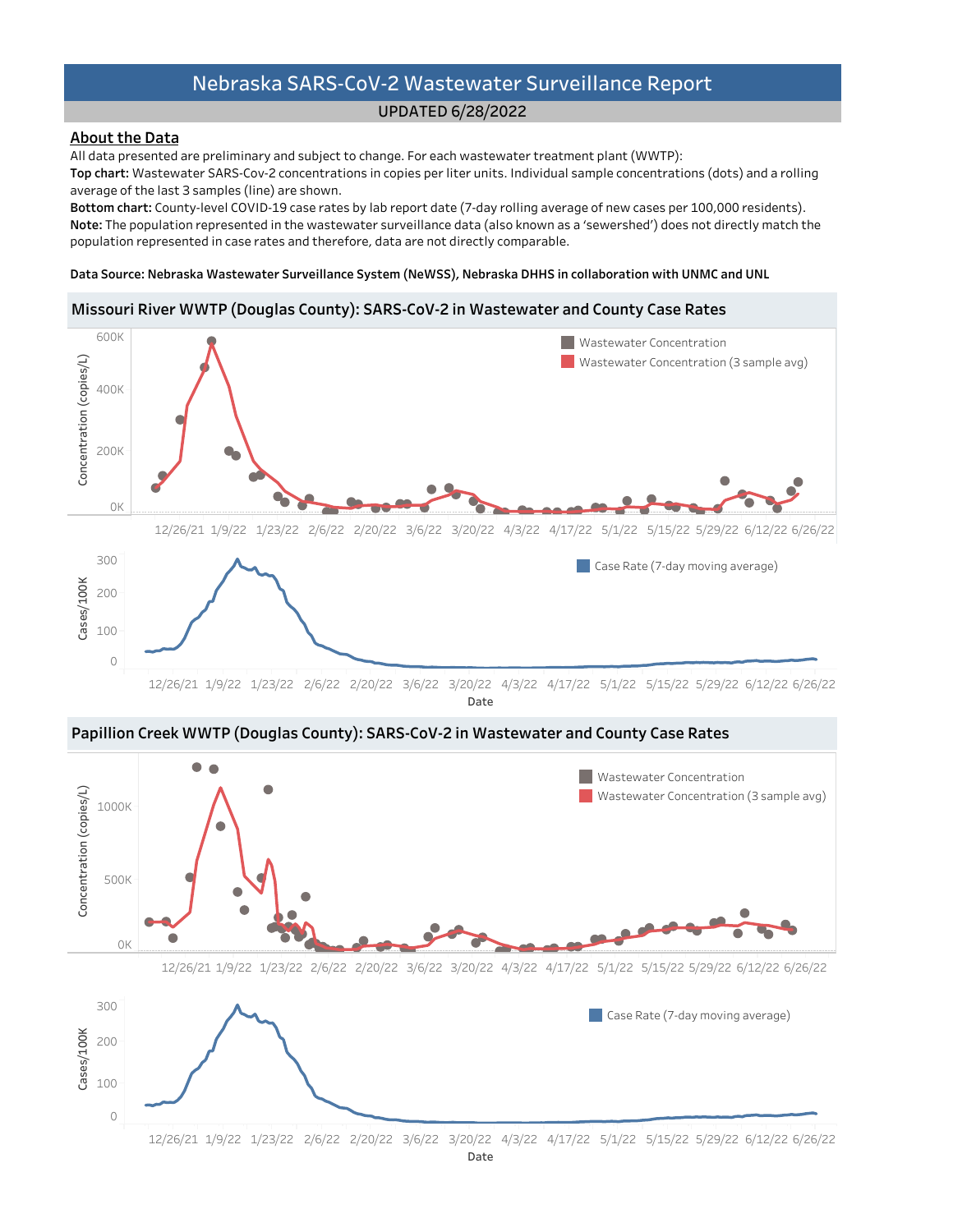# UPDATED6/28/2022

# **About the Data**

All data presented are preliminary and subject to change. For each wastewater treatment plant (WWTP):

Top chart: Wastewater SARS-Cov-2 concentrations in copies per liter units. Individual sample concentrations (dots) and a rolling average of the last 3 samples (line) are shown.

Bottom chart: County-level COVID-19 case rates by lab report date (7-day rolling average of new cases per 100,000 residents). Note: The population represented in the wastewater surveillance data (also known as a 'sewershed') does not directly match the population represented in case rates and therefore, data are not directly comparable.

#### Data Source: Nebraska Wastewater Surveillance System (NeWSS), Nebraska DHHS in collaboration with UNMC and UNL

# Missouri River WWTP (Douglas County): SARS-CoV-2 in Wastewater and County Case Rates







12/26/21 1/9/22 1/23/22 2/6/22 2/20/22 3/6/22 3/20/22 4/3/22 4/17/22 5/1/22 5/15/22 5/29/226/12/226/26/22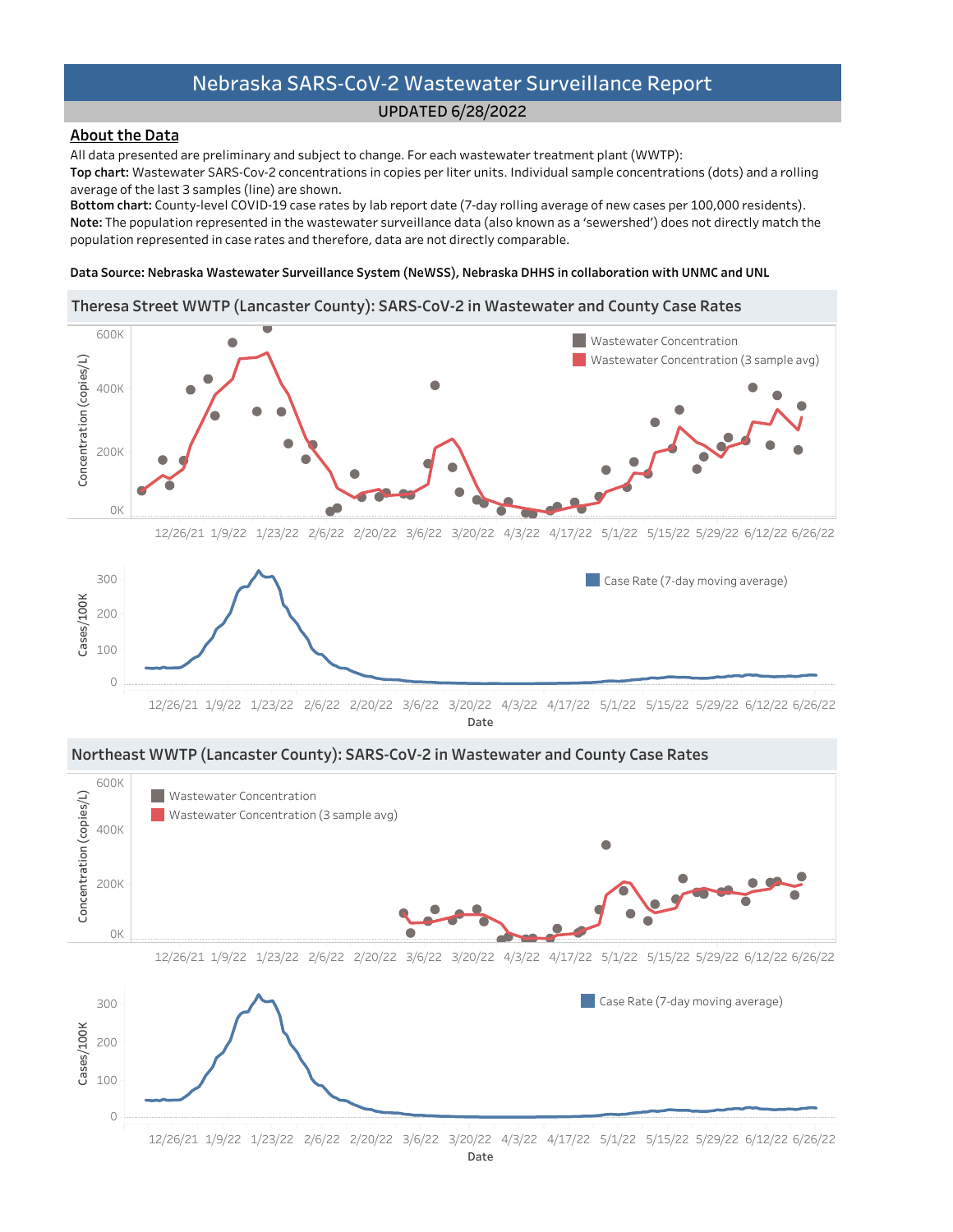## UPDATED6/28/2022

# **About the Data**

All data presented are preliminary and subject to change. For each wastewater treatment plant (WWTP):

Top chart: Wastewater SARS-Cov-2 concentrations in copies per liter units. Individual sample concentrations (dots) and a rolling average of the last 3 samples (line) are shown.

Bottom chart: County-level COVID-19 case rates by lab report date (7-day rolling average of new cases per 100,000 residents). Note: The population represented in the wastewater surveillance data (also known as a 'sewershed') does not directly match the population represented in case rates and therefore, data are not directly comparable.

#### Data Source: Nebraska Wastewater Surveillance System (NeWSS), Nebraska DHHS in collaboration with UNMC and UNL

# Theresa Street WWTP (Lancaster County): SARS-CoV-2 in Wastewater and County Case Rates



Date



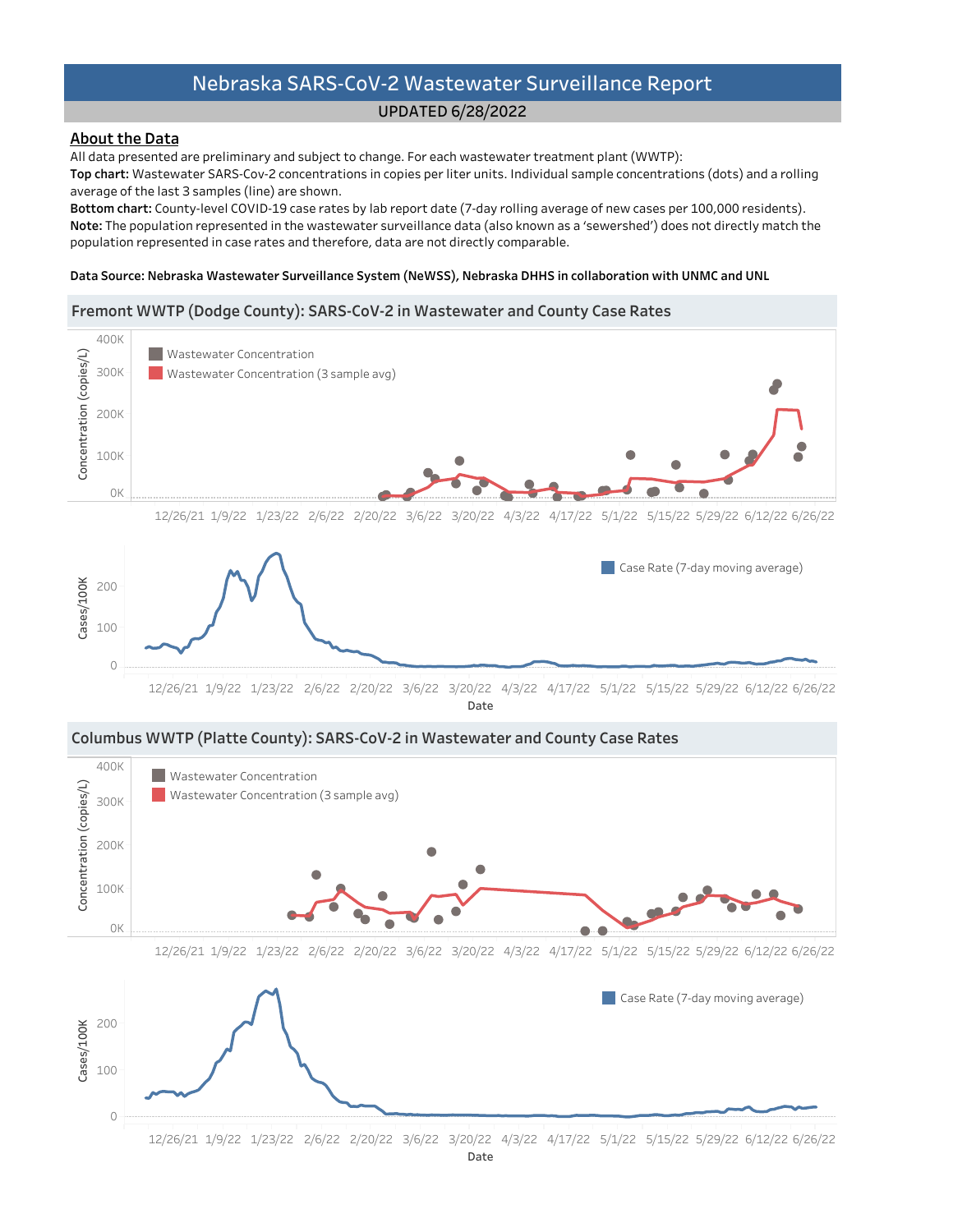# UPDATED6/28/2022

# About the Data

All data presented are preliminary and subject to change. For each wastewater treatment plant (WWTP):

Top chart: Wastewater SARS-Cov-2 concentrations in copies per liter units. Individual sample concentrations (dots) and a rolling average of the last 3 samples (line) are shown.

Bottom chart: County-level COVID-19 case rates by lab report date (7-day rolling average of new cases per 100,000 residents). Note: The population represented in the wastewater surveillance data (also known as a 'sewershed') does not directly match the population represented in case rates and therefore, data are not directly comparable.

#### Data Source: Nebraska Wastewater Surveillance System (NeWSS), Nebraska DHHS in collaboration with UNMC and UNL

### Fremont WWTP (Dodge County): SARS-CoV-2 in Wastewater and County Case Rates

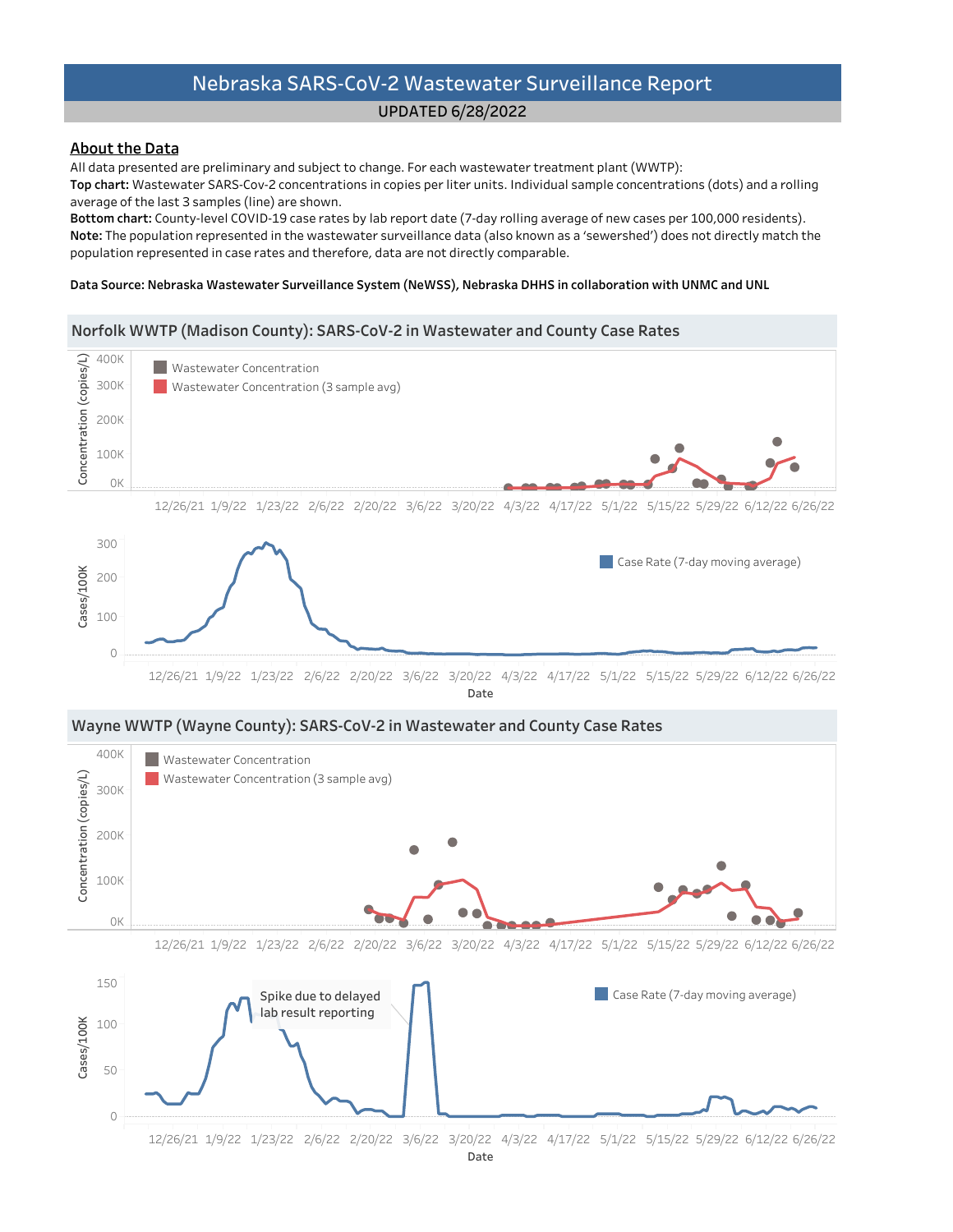# UPDATED6/28/2022

# **About the Data**

All data presented are preliminary and subject to change. For each wastewater treatment plant (WWTP):

Top chart: Wastewater SARS-Cov-2 concentrations in copies per liter units. Individual sample concentrations (dots) and a rolling average of the last 3 samples (line) are shown.

Bottom chart: County-level COVID-19 case rates by lab report date (7-day rolling average of new cases per 100,000 residents). Note: The population represented in the wastewater surveillance data (also known as a 'sewershed') does not directly match the population represented in case rates and therefore, data are not directly comparable.

#### Data Source: Nebraska Wastewater Surveillance System (NeWSS), Nebraska DHHS in collaboration with UNMC and UNL

#### Norfolk WWTP (Madison County): SARS-CoV-2 in Wastewater and County Case Rates



Date







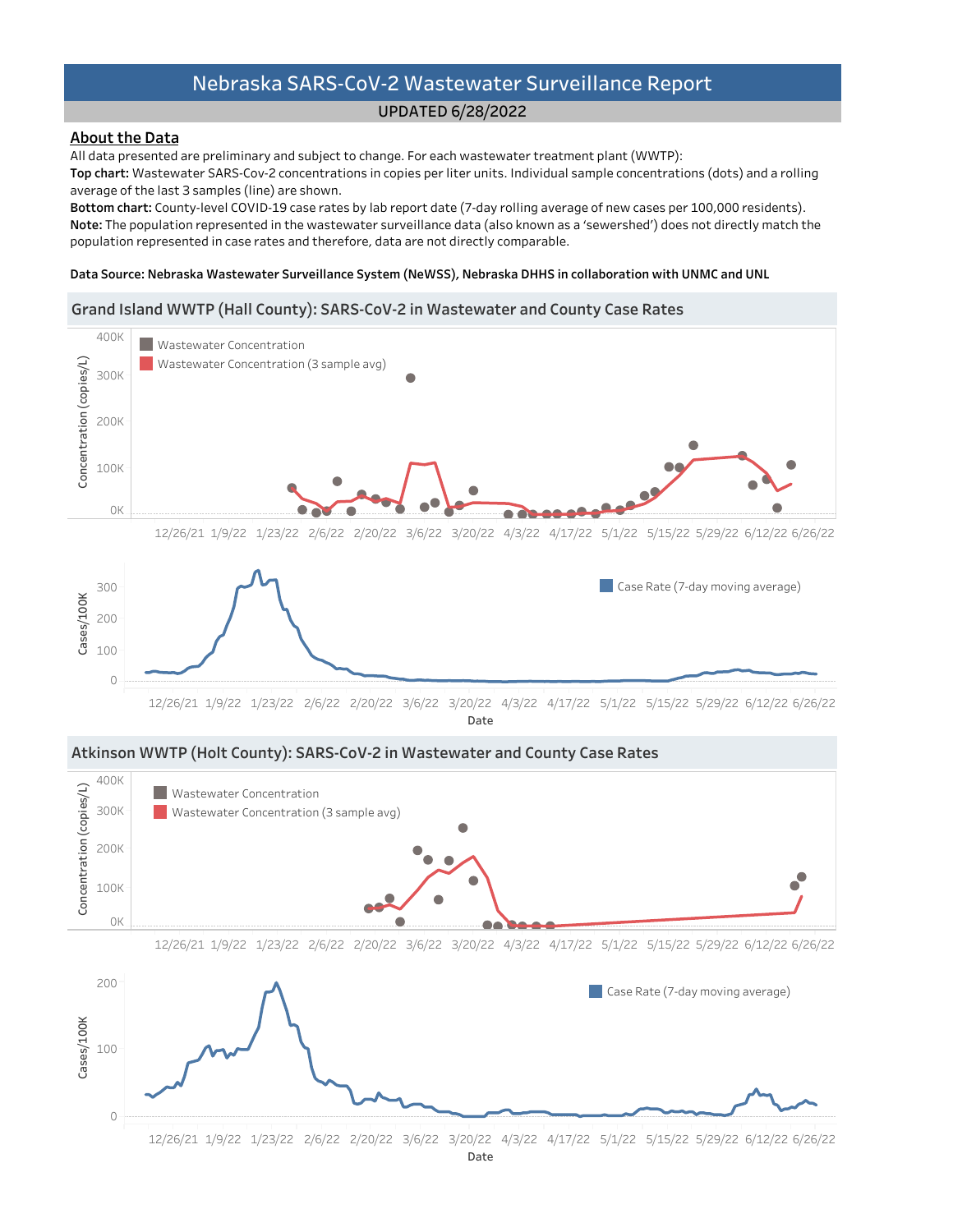# UPDATED6/28/2022

# **About the Data**

All data presented are preliminary and subject to change. For each wastewater treatment plant (WWTP):

Top chart: Wastewater SARS-Cov-2 concentrations in copies per liter units. Individual sample concentrations (dots) and a rolling average of the last 3 samples (line) are shown.

Bottom chart: County-level COVID-19 case rates by lab report date (7-day rolling average of new cases per 100,000 residents). Note: The population represented in the wastewater surveillance data (also known as a 'sewershed') does not directly match the population represented in case rates and therefore, data are not directly comparable.

#### Data Source: Nebraska Wastewater Surveillance System (NeWSS), Nebraska DHHS in collaboration with UNMC and UNL

## Grand Island WWTP (Hall County): SARS-CoV-2 in Wastewater and County Case Rates







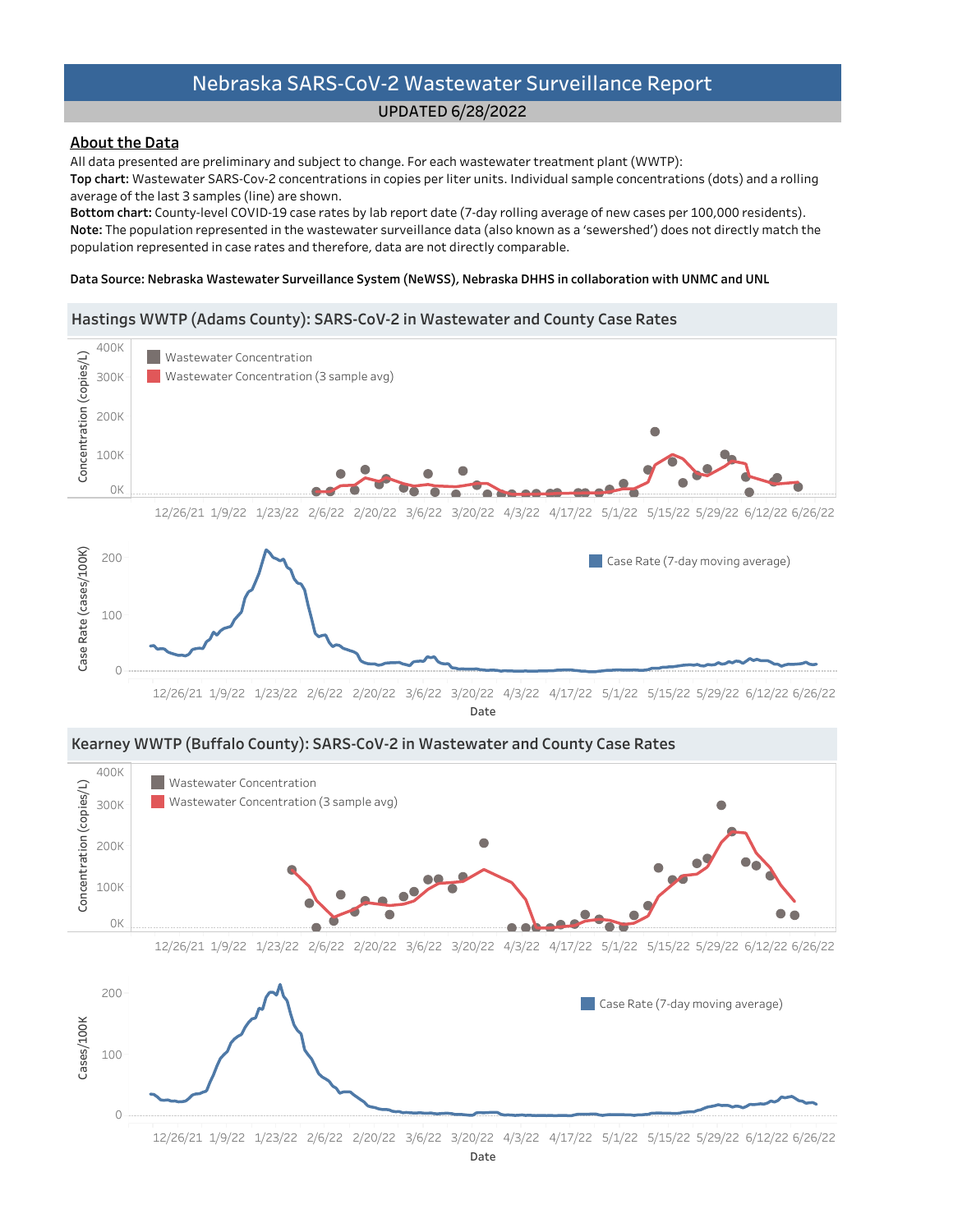# UPDATED6/28/2022

# **About the Data**

All data presented are preliminary and subject to change. For each wastewater treatment plant (WWTP):

Top chart: Wastewater SARS-Cov-2 concentrations in copies per liter units. Individual sample concentrations (dots) and a rolling average of the last 3 samples (line) are shown.

Bottom chart: County-level COVID-19 case rates by lab report date (7-day rolling average of new cases per 100,000 residents). Note: The population represented in the wastewater surveillance data (also known as a 'sewershed') does not directly match the population represented in case rates and therefore, data are not directly comparable.

#### Data Source: Nebraska Wastewater Surveillance System (NeWSS), Nebraska DHHS in collaboration with UNMC and UNL

### Hastings WWTP (Adams County): SARS-CoV-2 in Wastewater and County Case Rates





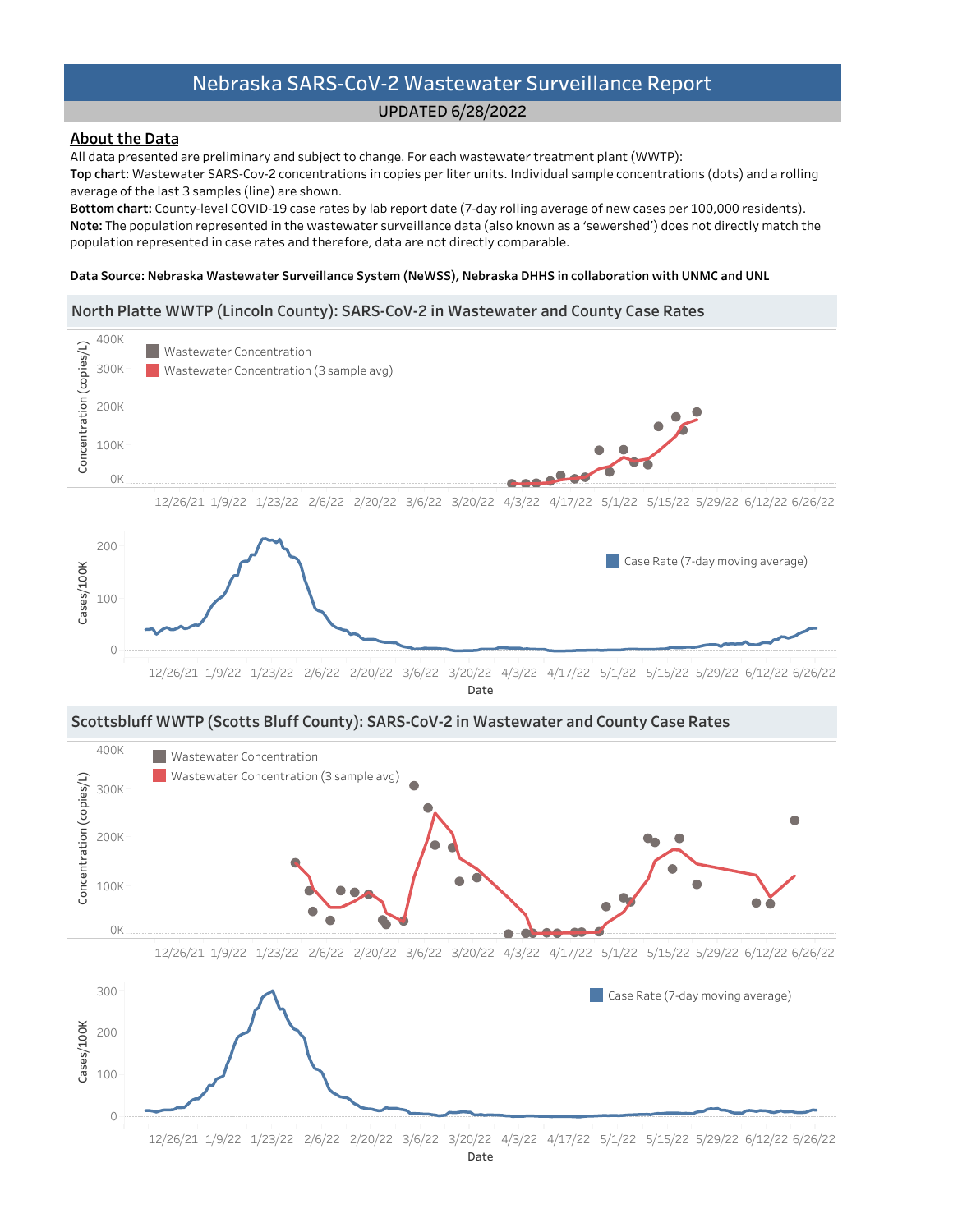# UPDATED6/28/2022

# About the Data

All data presented are preliminary and subject to change. For each wastewater treatment plant (WWTP):

Top chart: Wastewater SARS-Cov-2 concentrations in copies per liter units. Individual sample concentrations (dots) and a rolling average of the last 3 samples (line) are shown.

Bottom chart: County-level COVID-19 case rates by lab report date (7-day rolling average of new cases per 100,000 residents). Note: The population represented in the wastewater surveillance data (also known as a 'sewershed') does not directly match the population represented in case rates and therefore, data are not directly comparable.

#### Data Source: Nebraska Wastewater Surveillance System (NeWSS), Nebraska DHHS in collaboration with UNMC and UNL

# North Platte WWTP (Lincoln County): SARS-CoV-2 in Wastewater and County Case Rates



12/26/21 1/9/22 1/23/22 2/6/22 2/20/22 3/6/22 3/20/22 4/3/22 4/17/22 5/1/22 5/15/22 5/29/226/12/226/26/22 Date